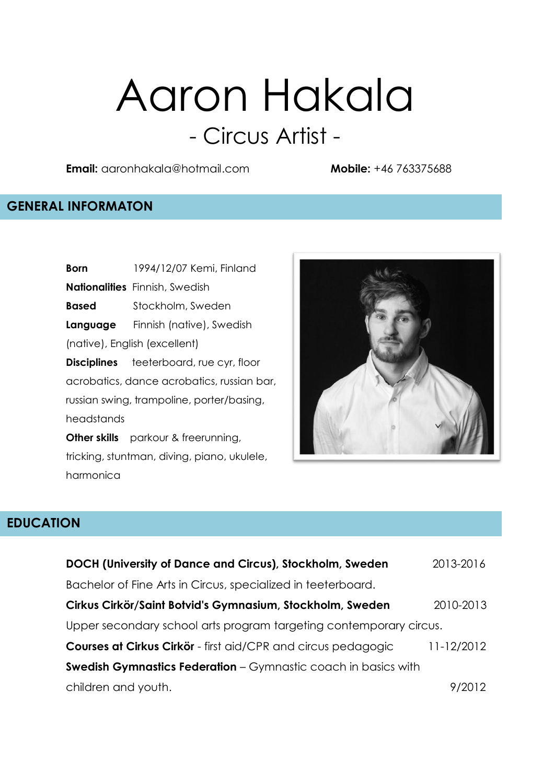# Aaron Hakala - Circus Artist -

**Email:** aaronhakala@hotmail.com **Mobile:** +46 763375688

#### **GENERAL INFORMATON**

**Born** 1994/12/07 Kemi, Finland **Nationalities** Finnish, Swedish **Based** Stockholm, Sweden **Language** Finnish (native), Swedish (native), English (excellent) **Disciplines** teeterboard, rue cyr, floor acrobatics, dance acrobatics, russian bar, russian swing, trampoline, porter/basing, headstands **Other skills** parkour & freerunning, tricking, stuntman, diving, piano, ukulele,



#### **EDUCATION**

harmonica

| DOCH (University of Dance and Circus), Stockholm, Sweden              | 2013-2016  |
|-----------------------------------------------------------------------|------------|
| Bachelor of Fine Arts in Circus, specialized in teeterboard.          |            |
| Cirkus Cirkör/Saint Botvid's Gymnasium, Stockholm, Sweden             | 2010-2013  |
| Upper secondary school arts program targeting contemporary circus.    |            |
| Courses at Cirkus Cirkör - first aid/CPR and circus pedagogic         | 11-12/2012 |
| <b>Swedish Gymnastics Federation</b> – Gymnastic coach in basics with |            |
| children and youth.                                                   | 9/2012     |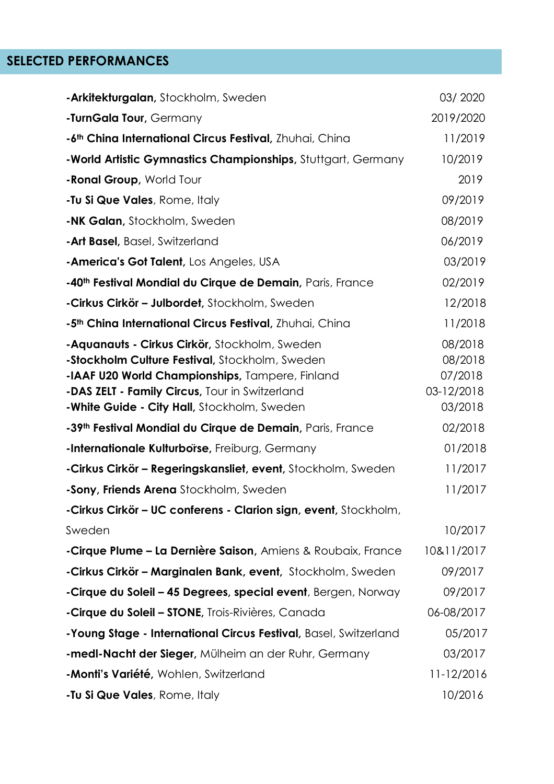## **SELECTED PERFORMANCES**

| -Arkitekturgalan, Stockholm, Sweden                                                                                                                                                                                                                 | 03/2020                                                |
|-----------------------------------------------------------------------------------------------------------------------------------------------------------------------------------------------------------------------------------------------------|--------------------------------------------------------|
| -TurnGala Tour, Germany                                                                                                                                                                                                                             | 2019/2020                                              |
| -6 <sup>th</sup> China International Circus Festival, Zhuhai, China                                                                                                                                                                                 | 11/2019                                                |
| -World Artistic Gymnastics Championships, Stuttgart, Germany                                                                                                                                                                                        | 10/2019                                                |
| - Ronal Group, World Tour                                                                                                                                                                                                                           | 2019                                                   |
| <b>-Tu Si Que Vales</b> , Rome, Italy                                                                                                                                                                                                               | 09/2019                                                |
| <b>-NK Galan, Stockholm, Sweden</b>                                                                                                                                                                                                                 | 08/2019                                                |
| -Art Basel, Basel, Switzerland                                                                                                                                                                                                                      | 06/2019                                                |
| -America's Got Talent, Los Angeles, USA                                                                                                                                                                                                             | 03/2019                                                |
| -40 <sup>th</sup> Festival Mondial du Cirque de Demain, Paris, France                                                                                                                                                                               | 02/2019                                                |
| -Cirkus Cirkör – Julbordet, Stockholm, Sweden                                                                                                                                                                                                       | 12/2018                                                |
| -5 <sup>th</sup> China International Circus Festival, Zhuhai, China                                                                                                                                                                                 | 11/2018                                                |
| -Aquanauts - Cirkus Cirkör, Stockholm, Sweden<br>-Stockholm Culture Festival, Stockholm, Sweden<br>-IAAF U20 World Championships, Tampere, Finland<br>-DAS ZELT - Family Circus, Tour in Switzerland<br>-White Guide - City Hall, Stockholm, Sweden | 08/2018<br>08/2018<br>07/2018<br>03-12/2018<br>03/2018 |
| -39th Festival Mondial du Cirque de Demain, Paris, France                                                                                                                                                                                           | 02/2018                                                |
| -Internationale Kulturborse, Freiburg, Germany                                                                                                                                                                                                      | 01/2018                                                |
| -Cirkus Cirkör – Regeringskansliet, event, Stockholm, Sweden                                                                                                                                                                                        | 11/2017                                                |
| -Sony, Friends Arena Stockholm, Sweden                                                                                                                                                                                                              | 11/2017                                                |
| -Cirkus Cirkör - UC conferens - Clarion sign, event, Stockholm,                                                                                                                                                                                     |                                                        |
| Sweden                                                                                                                                                                                                                                              | 10/2017                                                |
| -Cirque Plume – La Dernière Saison, Amiens & Roubaix, France                                                                                                                                                                                        | 10&11/2017                                             |
| -Cirkus Cirkör – Marginalen Bank, event, Stockholm, Sweden                                                                                                                                                                                          | 09/2017                                                |
| -Cirque du Soleil - 45 Degrees, special event, Bergen, Norway                                                                                                                                                                                       | 09/2017                                                |
| <b>-Cirque du Soleil – STONE</b> , Trois-Rivières, Canada                                                                                                                                                                                           | 06-08/2017                                             |
| -Young Stage - International Circus Festival, Basel, Switzerland                                                                                                                                                                                    | 05/2017                                                |
| -medl-Nacht der Sieger, Mülheim an der Ruhr, Germany                                                                                                                                                                                                | 03/2017                                                |
| -Monti's Variété, Wohlen, Switzerland                                                                                                                                                                                                               | 11-12/2016                                             |
| -Tu Si Que Vales, Rome, Italy                                                                                                                                                                                                                       | 10/2016                                                |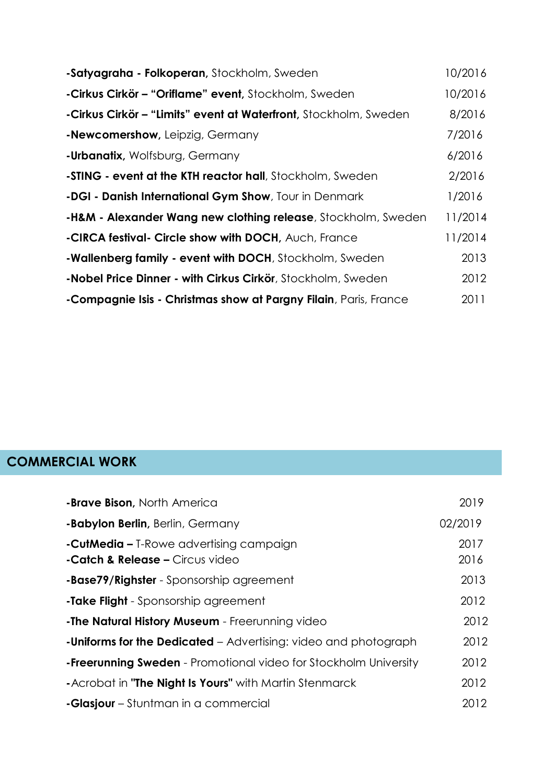| -Satyagraha - Folkoperan, Stockholm, Sweden                               | 10/2016 |
|---------------------------------------------------------------------------|---------|
| -Cirkus Cirkör – "Oriflame" event, Stockholm, Sweden                      | 10/2016 |
| -Cirkus Cirkör – "Limits" event at Waterfront, Stockholm, Sweden          | 8/2016  |
| -Newcomershow, Leipzig, Germany                                           | 7/2016  |
| <b>-Urbanatix, Wolfsburg, Germany</b>                                     | 6/2016  |
| -STING - event at the KTH reactor hall, Stockholm, Sweden                 | 2/2016  |
| -DGI - Danish International Gym Show, Tour in Denmark                     | 1/2016  |
| <b>-H&amp;M - Alexander Wang new clothing release</b> , Stockholm, Sweden | 11/2014 |
| -CIRCA festival- Circle show with DOCH, Auch, France                      | 11/2014 |
| -Wallenberg family - event with DOCH, Stockholm, Sweden                   | 2013    |
| -Nobel Price Dinner - with Cirkus Cirkör, Stockholm, Sweden               | 2012    |
| -Compagnie Isis - Christmas show at Pargny Filain, Paris, France          | 2011    |

# **COMMERCIAL WORK**

| -Brave Bison, North America                                                                  | 2019         |
|----------------------------------------------------------------------------------------------|--------------|
| <b>-Babylon Berlin, Berlin, Germany</b>                                                      | 02/2019      |
| <b>-CutMedia -</b> T-Rowe advertising campaign<br><b>-Catch &amp; Release - Circus video</b> | 2017<br>2016 |
| <b>-Base79/Righster</b> - Sponsorship agreement                                              | 2013         |
| -Take Flight - Sponsorship agreement                                                         | 2012         |
| -The Natural History Museum - Freerunning video                                              | 2012         |
| <b>-Uniforms for the Dedicated</b> – Advertising: video and photograph                       | 2012         |
| <b>-Freerunning Sweden</b> - Promotional video for Stockholm University                      | 2012         |
| -Acrobat in "The Night Is Yours" with Martin Stenmarck                                       | 2012         |
| <b>-Glasjour</b> – Stuntman in a commercial                                                  | 2012         |